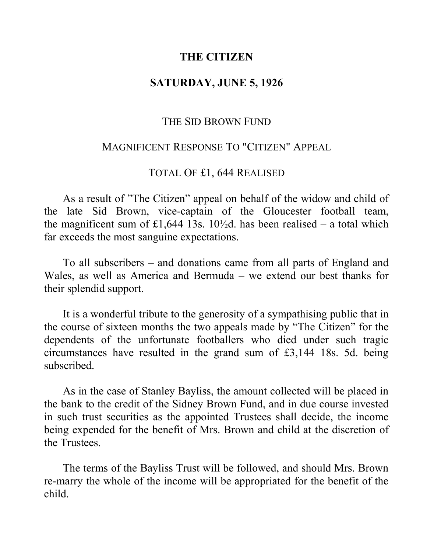# **THE CITIZEN**

# **SATURDAY, JUNE 5, 1926**

#### THE SID BROWN FUND

## MAGNIFICENT RESPONSE TO "CITIZEN" APPEAL

# TOTAL OF £1, 644 REALISED

As a result of "The Citizen" appeal on behalf of the widow and child of the late Sid Brown, vice-captain of the Gloucester football team, the magnificent sum of £1,644 13s. 10½d. has been realised – a total which far exceeds the most sanguine expectations.

To all subscribers – and donations came from all parts of England and Wales, as well as America and Bermuda – we extend our best thanks for their splendid support.

It is a wonderful tribute to the generosity of a sympathising public that in the course of sixteen months the two appeals made by "The Citizen" for the dependents of the unfortunate footballers who died under such tragic circumstances have resulted in the grand sum of £3,144 18s. 5d. being subscribed.

As in the case of Stanley Bayliss, the amount collected will be placed in the bank to the credit of the Sidney Brown Fund, and in due course invested in such trust securities as the appointed Trustees shall decide, the income being expended for the benefit of Mrs. Brown and child at the discretion of the Trustees.

The terms of the Bayliss Trust will be followed, and should Mrs. Brown re-marry the whole of the income will be appropriated for the benefit of the child.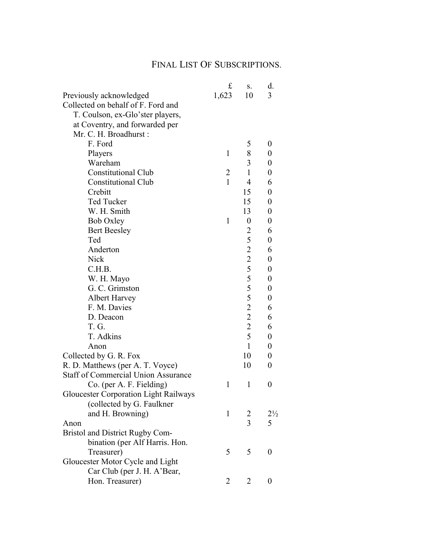## FINAL LIST OF SUBSCRIPTIONS.

|                                              | £              | S.                                         | d.               |
|----------------------------------------------|----------------|--------------------------------------------|------------------|
| Previously acknowledged                      | 1,623          | 10                                         | 3                |
| Collected on behalf of F. Ford and           |                |                                            |                  |
| T. Coulson, ex-Glo'ster players,             |                |                                            |                  |
| at Coventry, and forwarded per               |                |                                            |                  |
| Mr. C. H. Broadhurst:                        |                |                                            |                  |
| F. Ford                                      |                | 5                                          | 0                |
| Players                                      | $\mathbf{1}$   | 8                                          | 0                |
| Wareham                                      |                | 3                                          | 0                |
| <b>Constitutional Club</b>                   | $\overline{2}$ | $\mathbf{1}$                               | $\boldsymbol{0}$ |
| <b>Constitutional Club</b>                   | $\mathbf{1}$   | 4                                          | 6                |
| Crebitt                                      |                | 15                                         | $\boldsymbol{0}$ |
| Ted Tucker                                   |                | 15                                         | $\boldsymbol{0}$ |
| W. H. Smith                                  |                | 13                                         | 0                |
| <b>Bob Oxley</b>                             | 1              | $\boldsymbol{0}$                           | $\boldsymbol{0}$ |
| <b>Bert Beesley</b>                          |                | 2                                          | 6                |
| Ted                                          |                | 5                                          | $\boldsymbol{0}$ |
| Anderton                                     |                | $\overline{c}$                             | 6                |
| Nick                                         |                | $\overline{2}$                             | $\boldsymbol{0}$ |
| C.H.B.                                       |                | 5                                          | $\boldsymbol{0}$ |
| W. H. Mayo                                   |                |                                            | 0                |
| G. C. Grimston                               |                | $\begin{array}{c} 5 \\ 5 \\ 5 \end{array}$ | 0                |
| <b>Albert Harvey</b>                         |                |                                            | $\boldsymbol{0}$ |
| F. M. Davies                                 |                | $\overline{2}$                             | 6                |
| D. Deacon                                    |                | $\overline{c}$                             | 6                |
| T.G.                                         |                | $\overline{2}$                             | 6                |
| T. Adkins                                    |                | 5                                          | 0                |
| Anon                                         |                | $\mathbf{1}$                               | 0                |
| Collected by G. R. Fox                       |                | 10                                         | 0                |
| R. D. Matthews (per A. T. Voyce)             |                | 10                                         | 0                |
| <b>Staff of Commercial Union Assurance</b>   |                |                                            |                  |
| Co. (per A. F. Fielding)                     | 1              | 1                                          | 0                |
| <b>Gloucester Corporation Light Railways</b> |                |                                            |                  |
| (collected by G. Faulkner                    |                |                                            |                  |
| and H. Browning)                             | 1              | 2                                          | $2\frac{1}{2}$   |
| Anon                                         |                | $\overline{3}$                             | 5                |
| Bristol and District Rugby Com-              |                |                                            |                  |
| bination (per Alf Harris. Hon.               |                |                                            |                  |
| Treasurer)                                   | 5              | 5                                          | 0                |
| Gloucester Motor Cycle and Light             |                |                                            |                  |
| Car Club (per J. H. A'Bear,                  |                |                                            |                  |
| Hon. Treasurer)                              | $\overline{2}$ | 2                                          | 0                |